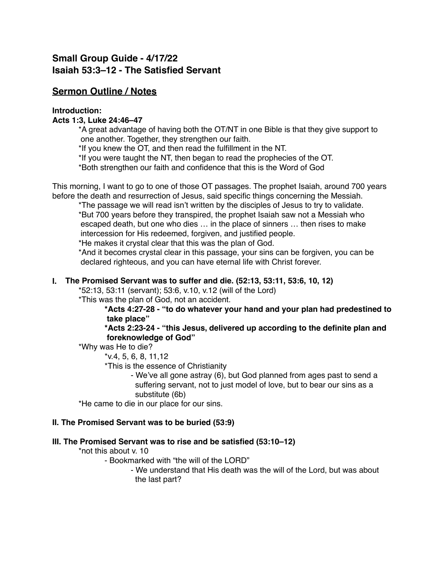# **Small Group Guide - 4/17/22 Isaiah 53:3–12 - The Satisfied Servant**

# **Sermon Outline / Notes**

## **Introduction:**

## **Acts 1:3, Luke 24:46–47**

\*A great advantage of having both the OT/NT in one Bible is that they give support to one another. Together, they strengthen our faith.

\*If you knew the OT, and then read the fulfillment in the NT.

\*If you were taught the NT, then began to read the prophecies of the OT.

\*Both strengthen our faith and confidence that this is the Word of God

This morning, I want to go to one of those OT passages. The prophet Isaiah, around 700 years before the death and resurrection of Jesus, said specific things concerning the Messiah.

\*The passage we will read isn't written by the disciples of Jesus to try to validate. \*But 700 years before they transpired, the prophet Isaiah saw not a Messiah who escaped death, but one who dies … in the place of sinners … then rises to make intercession for His redeemed, forgiven, and justified people.

\*He makes it crystal clear that this was the plan of God.

\*And it becomes crystal clear in this passage, your sins can be forgiven, you can be declared righteous, and you can have eternal life with Christ forever.

## **I. The Promised Servant was to suffer and die. (52:13, 53:11, 53:6, 10, 12)**

\*52:13, 53:11 (servant); 53:6, v.10, v.12 (will of the Lord)

\*This was the plan of God, not an accident.

### **\*Acts 4:27-28 - "to do whatever your hand and your plan had predestined to take place"**

### **\*Acts 2:23-24 - "this Jesus, delivered up according to the definite plan and foreknowledge of God"**

\*Why was He to die?

\*v.4, 5, 6, 8, 11,12

\*This is the essence of Christianity

- We've all gone astray (6), but God planned from ages past to send a suffering servant, not to just model of love, but to bear our sins as a substitute (6b)

\*He came to die in our place for our sins.

# **II. The Promised Servant was to be buried (53:9)**

# **III. The Promised Servant was to rise and be satisfied (53:10–12)**

\*not this about v. 10

- Bookmarked with "the will of the LORD"

- We understand that His death was the will of the Lord, but was about the last part?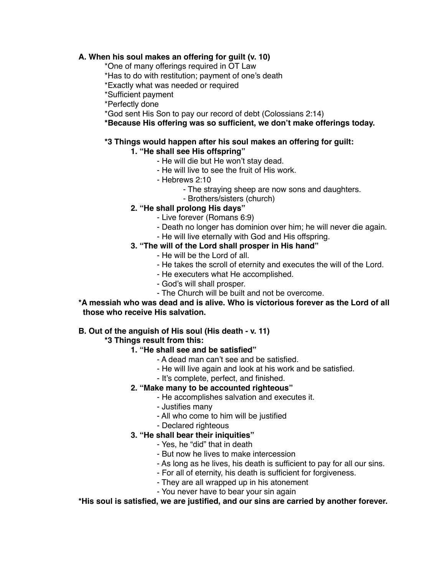## **A. When his soul makes an offering for guilt (v. 10)**

- \*One of many offerings required in OT Law
- \*Has to do with restitution; payment of one's death
- \*Exactly what was needed or required
- \*Sufficient payment
- \*Perfectly done
- \*God sent His Son to pay our record of debt (Colossians 2:14)
- **\*Because His offering was so sufficient, we don't make offerings today.**

## **\*3 Things would happen after his soul makes an offering for guilt:**

## **1. "He shall see His offspring"**

- He will die but He won't stay dead.
- He will live to see the fruit of His work.
- Hebrews 2:10
	- The straying sheep are now sons and daughters.
	- Brothers/sisters (church)
- **2. "He shall prolong His days"**
	- Live forever (Romans 6:9)
	- Death no longer has dominion over him; he will never die again.
	- He will live eternally with God and His offspring.

# **3. "The will of the Lord shall prosper in His hand"**

- He will be the Lord of all.
- He takes the scroll of eternity and executes the will of the Lord.
- He executers what He accomplished.
- God's will shall prosper.
- The Church will be built and not be overcome.
- **\*A messiah who was dead and is alive. Who is victorious forever as the Lord of all those who receive His salvation.**

### **B. Out of the anguish of His soul (His death - v. 11)**

### **\*3 Things result from this:**

- **1. "He shall see and be satisfied"**
	- A dead man can't see and be satisfied.
	- He will live again and look at his work and be satisfied.
	- It's complete, perfect, and finished.

### **2. "Make many to be accounted righteous"**

- He accomplishes salvation and executes it.
- Justifies many
- All who come to him will be justified
- Declared righteous

# **3. "He shall bear their iniquities"**

- Yes, he "did" that in death
- But now he lives to make intercession
- As long as he lives, his death is sufficient to pay for all our sins.
- For all of eternity, his death is sufficient for forgiveness.
- They are all wrapped up in his atonement
- You never have to bear your sin again

### **\*His soul is satisfied, we are justified, and our sins are carried by another forever.**